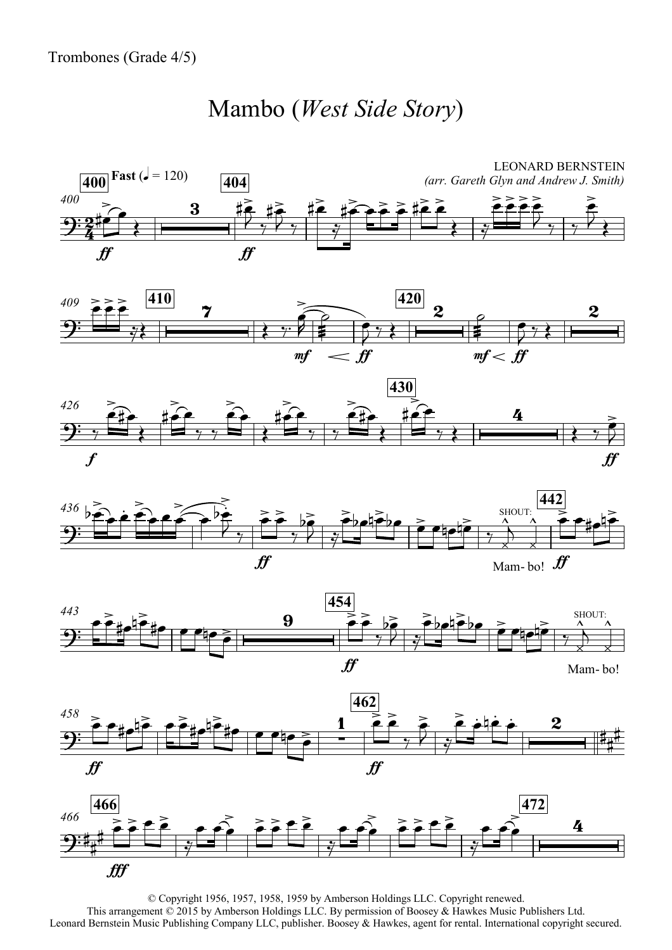## Mambo (*West Side Story*)















© Copyright 1956, 1957, 1958, 1959 by Amberson Holdings LLC. Copyright renewed. This arrangement © 2015 by Amberson Holdings LLC. By permission of Boosey & Hawkes Music Publishers Ltd. Leonard Bernstein Music Publishing Company LLC, publisher. Boosey & Hawkes, agent for rental. International copyright secured.